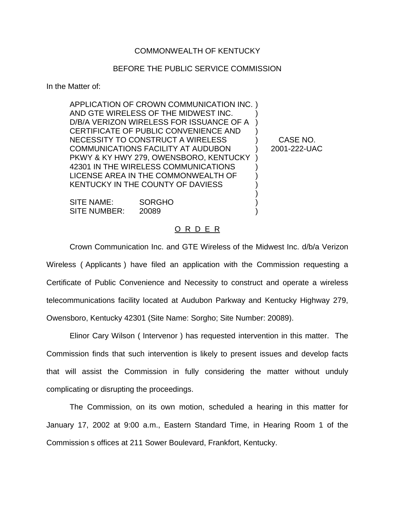## COMMONWEALTH OF KENTUCKY

## BEFORE THE PUBLIC SERVICE COMMISSION

In the Matter of:

APPLICATION OF CROWN COMMUNICATION INC. ) AND GTE WIRELESS OF THE MIDWEST INC. ) D/B/A VERIZON WIRELESS FOR ISSUANCE OF A ) CERTIFICATE OF PUBLIC CONVENIENCE AND ) NECESSITY TO CONSTRUCT A WIRELESS ) CASE NO. COMMUNICATIONS FACILITY AT AUDUBON ) 2001-222-UAC PKWY & KY HWY 279, OWENSBORO, KENTUCKY ) 42301 IN THE WIRELESS COMMUNICATIONS ) LICENSE AREA IN THE COMMONWEALTH OF ) KENTUCKY IN THE COUNTY OF DAVIESS )

SITE NAME: SORGHO SITE NUMBER: 20089

## O R D E R

Crown Communication Inc. and GTE Wireless of the Midwest Inc. d/b/a Verizon Wireless ( Applicants ) have filed an application with the Commission requesting a Certificate of Public Convenience and Necessity to construct and operate a wireless telecommunications facility located at Audubon Parkway and Kentucky Highway 279, Owensboro, Kentucky 42301 (Site Name: Sorgho; Site Number: 20089).

Elinor Cary Wilson ( Intervenor ) has requested intervention in this matter. The Commission finds that such intervention is likely to present issues and develop facts that will assist the Commission in fully considering the matter without unduly complicating or disrupting the proceedings.

The Commission, on its own motion, scheduled a hearing in this matter for January 17, 2002 at 9:00 a.m., Eastern Standard Time, in Hearing Room 1 of the Commission s offices at 211 Sower Boulevard, Frankfort, Kentucky.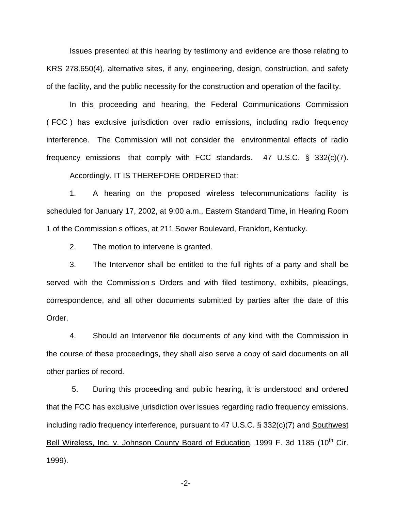Issues presented at this hearing by testimony and evidence are those relating to KRS 278.650(4), alternative sites, if any, engineering, design, construction, and safety of the facility, and the public necessity for the construction and operation of the facility.

In this proceeding and hearing, the Federal Communications Commission ( FCC ) has exclusive jurisdiction over radio emissions, including radio frequency interference. The Commission will not consider the environmental effects of radio frequency emissions that comply with FCC standards. 47 U.S.C. § 332(c)(7).

Accordingly, IT IS THEREFORE ORDERED that:

1. A hearing on the proposed wireless telecommunications facility is scheduled for January 17, 2002, at 9:00 a.m., Eastern Standard Time, in Hearing Room 1 of the Commission s offices, at 211 Sower Boulevard, Frankfort, Kentucky.

2. The motion to intervene is granted.

3. The Intervenor shall be entitled to the full rights of a party and shall be served with the Commission s Orders and with filed testimony, exhibits, pleadings, correspondence, and all other documents submitted by parties after the date of this Order.

4. Should an Intervenor file documents of any kind with the Commission in the course of these proceedings, they shall also serve a copy of said documents on all other parties of record.

5. During this proceeding and public hearing, it is understood and ordered that the FCC has exclusive jurisdiction over issues regarding radio frequency emissions, including radio frequency interference, pursuant to 47 U.S.C. § 332(c)(7) and Southwest Bell Wireless, Inc. v. Johnson County Board of Education, 1999 F. 3d 1185 (10<sup>th</sup> Cir. 1999).

-2-